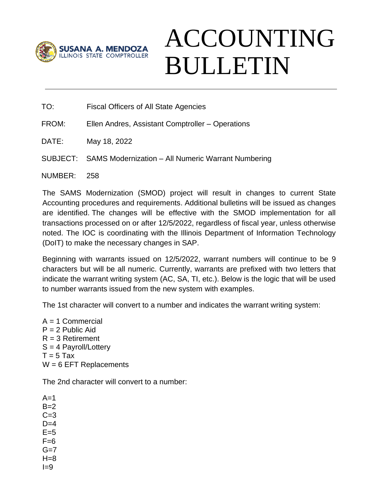

## ACCOUNTING BULLETIN

TO: Fiscal Officers of All State Agencies

FROM: Ellen Andres, Assistant Comptroller – Operations

DATE: May 18, 2022

SUBJECT: SAMS Modernization – All Numeric Warrant Numbering

NUMBER: 258

The SAMS Modernization (SMOD) project will result in changes to current State Accounting procedures and requirements. Additional bulletins will be issued as changes are identified. The changes will be effective with the SMOD implementation for all transactions processed on or after 12/5/2022, regardless of fiscal year, unless otherwise noted. The IOC is coordinating with the Illinois Department of Information Technology (DoIT) to make the necessary changes in SAP.

Beginning with warrants issued on 12/5/2022, warrant numbers will continue to be 9 characters but will be all numeric. Currently, warrants are prefixed with two letters that indicate the warrant writing system (AC, SA, TI, etc.). Below is the logic that will be used to number warrants issued from the new system with examples.

The 1st character will convert to a number and indicates the warrant writing system:

 $A = 1$  Commercial  $P = 2$  Public Aid  $R = 3$  Retirement  $S = 4$  Payroll/Lottery  $T = 5$  Tax  $W = 6$  EFT Replacements

The 2nd character will convert to a number:

 $A=1$  $B=2$  $C=3$  $D=4$  $F=5$  $F=6$  $G=7$  $H=8$  $I=9$